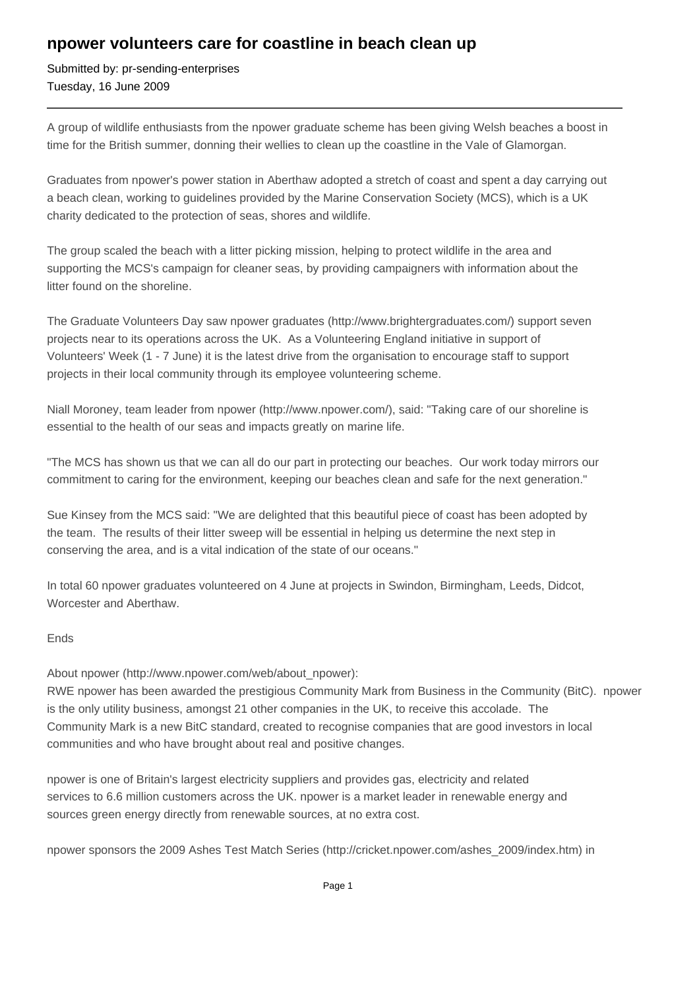## **npower volunteers care for coastline in beach clean up**

Submitted by: pr-sending-enterprises Tuesday, 16 June 2009

A group of wildlife enthusiasts from the npower graduate scheme has been giving Welsh beaches a boost in time for the British summer, donning their wellies to clean up the coastline in the Vale of Glamorgan.

Graduates from npower's power station in Aberthaw adopted a stretch of coast and spent a day carrying out a beach clean, working to guidelines provided by the Marine Conservation Society (MCS), which is a UK charity dedicated to the protection of seas, shores and wildlife.

The group scaled the beach with a litter picking mission, helping to protect wildlife in the area and supporting the MCS's campaign for cleaner seas, by providing campaigners with information about the litter found on the shoreline.

The Graduate Volunteers Day saw npower graduates (http://www.brightergraduates.com/) support seven projects near to its operations across the UK. As a Volunteering England initiative in support of Volunteers' Week (1 - 7 June) it is the latest drive from the organisation to encourage staff to support projects in their local community through its employee volunteering scheme.

Niall Moroney, team leader from npower (http://www.npower.com/), said: "Taking care of our shoreline is essential to the health of our seas and impacts greatly on marine life.

"The MCS has shown us that we can all do our part in protecting our beaches. Our work today mirrors our commitment to caring for the environment, keeping our beaches clean and safe for the next generation."

Sue Kinsey from the MCS said: "We are delighted that this beautiful piece of coast has been adopted by the team. The results of their litter sweep will be essential in helping us determine the next step in conserving the area, and is a vital indication of the state of our oceans."

In total 60 npower graduates volunteered on 4 June at projects in Swindon, Birmingham, Leeds, Didcot, Worcester and Aberthaw.

## Ends

About npower (http://www.npower.com/web/about\_npower):

RWE npower has been awarded the prestigious Community Mark from Business in the Community (BitC). npower is the only utility business, amongst 21 other companies in the UK, to receive this accolade. The Community Mark is a new BitC standard, created to recognise companies that are good investors in local communities and who have brought about real and positive changes.

npower is one of Britain's largest electricity suppliers and provides gas, electricity and related services to 6.6 million customers across the UK. npower is a market leader in renewable energy and sources green energy directly from renewable sources, at no extra cost.

npower sponsors the 2009 Ashes Test Match Series (http://cricket.npower.com/ashes\_2009/index.htm) in